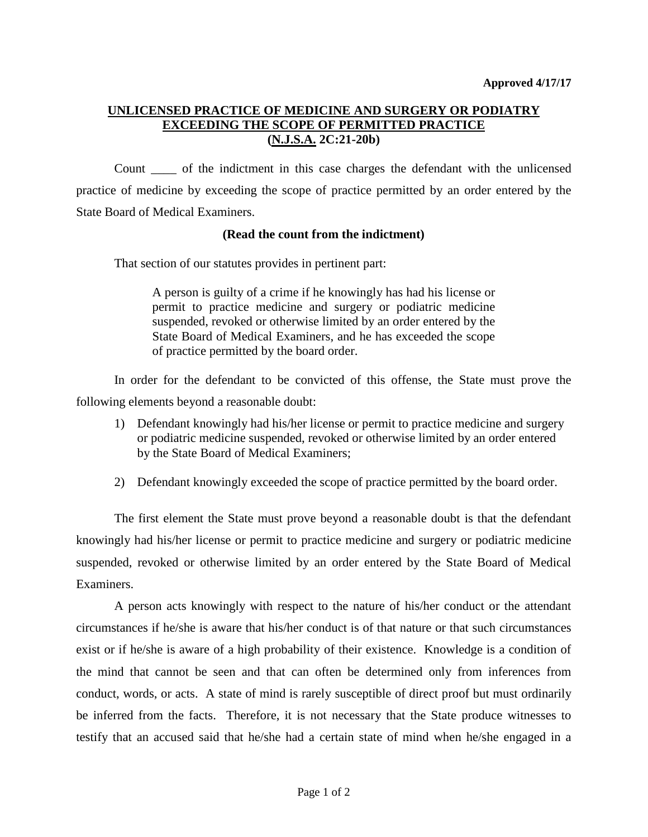## **UNLICENSED PRACTICE OF MEDICINE AND SURGERY OR PODIATRY EXCEEDING THE SCOPE OF PERMITTED PRACTICE (N.J.S.A. 2C:21-20b)**

Count \_\_\_\_ of the indictment in this case charges the defendant with the unlicensed practice of medicine by exceeding the scope of practice permitted by an order entered by the State Board of Medical Examiners.

## **(Read the count from the indictment)**

That section of our statutes provides in pertinent part:

A person is guilty of a crime if he knowingly has had his license or permit to practice medicine and surgery or podiatric medicine suspended, revoked or otherwise limited by an order entered by the State Board of Medical Examiners, and he has exceeded the scope of practice permitted by the board order.

In order for the defendant to be convicted of this offense, the State must prove the following elements beyond a reasonable doubt:

- 1) Defendant knowingly had his/her license or permit to practice medicine and surgery or podiatric medicine suspended, revoked or otherwise limited by an order entered by the State Board of Medical Examiners;
- 2) Defendant knowingly exceeded the scope of practice permitted by the board order.

The first element the State must prove beyond a reasonable doubt is that the defendant knowingly had his/her license or permit to practice medicine and surgery or podiatric medicine suspended, revoked or otherwise limited by an order entered by the State Board of Medical Examiners.

A person acts knowingly with respect to the nature of his/her conduct or the attendant circumstances if he/she is aware that his/her conduct is of that nature or that such circumstances exist or if he/she is aware of a high probability of their existence. Knowledge is a condition of the mind that cannot be seen and that can often be determined only from inferences from conduct, words, or acts. A state of mind is rarely susceptible of direct proof but must ordinarily be inferred from the facts. Therefore, it is not necessary that the State produce witnesses to testify that an accused said that he/she had a certain state of mind when he/she engaged in a